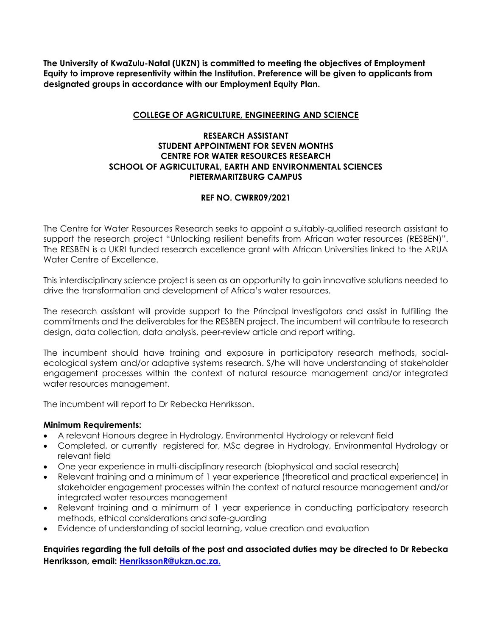**The University of KwaZulu-Natal (UKZN) is committed to meeting the objectives of Employment Equity to improve representivity within the Institution. Preference will be given to applicants from designated groups in accordance with our Employment Equity Plan.**

## **COLLEGE OF AGRICULTURE, ENGINEERING AND SCIENCE**

## **RESEARCH ASSISTANT STUDENT APPOINTMENT FOR SEVEN MONTHS CENTRE FOR WATER RESOURCES RESEARCH SCHOOL OF AGRICULTURAL, EARTH AND ENVIRONMENTAL SCIENCES PIETERMARITZBURG CAMPUS**

## **REF NO. CWRR09/2021**

The Centre for Water Resources Research seeks to appoint a suitably-qualified research assistant to support the research project "Unlocking resilient benefits from African water resources (RESBEN)". The RESBEN is a UKRI funded research excellence grant with African Universities linked to the ARUA Water Centre of Excellence.

This interdisciplinary science project is seen as an opportunity to gain innovative solutions needed to drive the transformation and development of Africa's water resources.

The research assistant will provide support to the Principal Investigators and assist in fulfilling the commitments and the deliverables for the RESBEN project. The incumbent will contribute to research design, data collection, data analysis, peer-review article and report writing.

The incumbent should have training and exposure in participatory research methods, socialecological system and/or adaptive systems research. S/he will have understanding of stakeholder engagement processes within the context of natural resource management and/or integrated water resources management.

The incumbent will report to Dr Rebecka Henriksson.

## **Minimum Requirements:**

- A relevant Honours degree in Hydrology, Environmental Hydrology or relevant field
- Completed, or currently registered for, MSc degree in Hydrology, Environmental Hydrology or relevant field
- One year experience in multi-disciplinary research (biophysical and social research)
- Relevant training and a minimum of 1 year experience (theoretical and practical experience) in stakeholder engagement processes within the context of natural resource management and/or integrated water resources management
- Relevant training and a minimum of 1 year experience in conducting participatory research methods, ethical considerations and safe-guarding
- Evidence of understanding of social learning, value creation and evaluation

**Enquiries regarding the full details of the post and associated duties may be directed to Dr Rebecka Henriksson, email: [HenrikssonR@ukzn.ac.za.](mailto:HenrikssonR@ukzn.ac.za)**